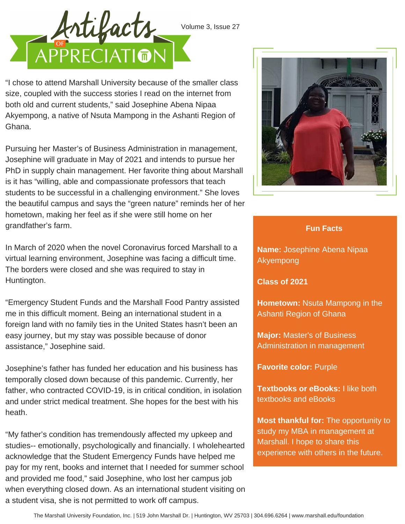

Volume 3, Issue 27

"I chose to attend Marshall University because of the smaller class size, coupled with the success stories I read on the internet from both old and current students," said Josephine Abena Nipaa Akyempong, a native of Nsuta Mampong in the Ashanti Region of Ghana.

Pursuing her Master's of Business Administration in management, Josephine will graduate in May of 2021 and intends to pursue her PhD in supply chain management. Her favorite thing about Marshall is it has "willing, able and compassionate professors that teach students to be successful in a challenging environment." She loves the beautiful campus and says the "green nature" reminds her of her hometown, making her feel as if she were still home on her grandfather's farm.



## **Fun Facts**

**Name:** Josephine Abena Nipaa Akyempong

**Class of 2021**

**Hometown:** Nsuta Mampong in the Ashanti Region of Ghana

**Major:** Master's of Business Administration in management

**Favorite color:** Purple

**Textbooks or eBooks:** I like both textbooks and eBooks

**Most thankful for:** The opportunity to study my MBA in management at Marshall. I hope to share this experience with others in the future.

In March of 2020 when the novel Coronavirus forced Marshall to a virtual learning environment, Josephine was facing a difficult time. The borders were closed and she was required to stay in Huntington.

"Emergency Student Funds and the Marshall Food Pantry assisted me in this difficult moment. Being an international student in a foreign land with no family ties in the United States hasn't been an easy journey, but my stay was possible because of donor assistance," Josephine said.

Josephine's father has funded her education and his business has temporally closed down because of this pandemic. Currently, her father, who contracted COVID-19, is in critical condition, in isolation and under strict medical treatment. She hopes for the best with his heath.

"My father's condition has tremendously affected my upkeep and studies-- emotionally, psychologically and financially. I wholehearted acknowledge that the Student Emergency Funds have helped me pay for my rent, books and internet that I needed for summer school and provided me food," said Josephine, who lost her campus job when everything closed down. As an international student visiting on a student visa, she is not permitted to work off campus.